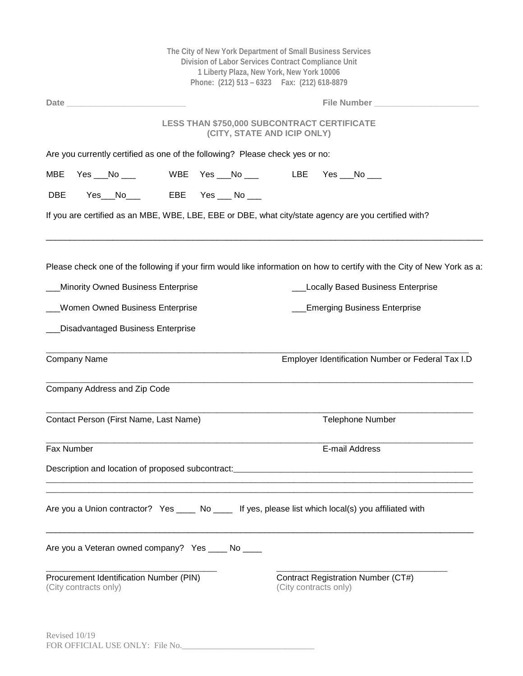|                                        | The City of New York Department of Small Business Services<br>Division of Labor Services Contract Compliance Unit<br>1 Liberty Plaza, New York, New York 10006<br>Phone: (212) 513 - 6323    Fax: (212) 618-8879 |                              |                                                    |  |  |                                                                                   |                         |                                                                                                                                                                     |  |  |
|----------------------------------------|------------------------------------------------------------------------------------------------------------------------------------------------------------------------------------------------------------------|------------------------------|----------------------------------------------------|--|--|-----------------------------------------------------------------------------------|-------------------------|---------------------------------------------------------------------------------------------------------------------------------------------------------------------|--|--|
|                                        | <b>Date Date</b>                                                                                                                                                                                                 |                              |                                                    |  |  |                                                                                   |                         | File Number                                                                                                                                                         |  |  |
|                                        |                                                                                                                                                                                                                  |                              |                                                    |  |  | <b>LESS THAN \$750,000 SUBCONTRACT CERTIFICATE</b><br>(CITY, STATE AND ICIP ONLY) |                         |                                                                                                                                                                     |  |  |
|                                        |                                                                                                                                                                                                                  |                              |                                                    |  |  | Are you currently certified as one of the following? Please check yes or no:      |                         |                                                                                                                                                                     |  |  |
| MBE                                    |                                                                                                                                                                                                                  | Yes $N_0$                    |                                                    |  |  |                                                                                   |                         |                                                                                                                                                                     |  |  |
| <b>DBE</b>                             |                                                                                                                                                                                                                  |                              | Yes__No____   EBE  Yes ___ No ___                  |  |  |                                                                                   |                         |                                                                                                                                                                     |  |  |
|                                        |                                                                                                                                                                                                                  |                              |                                                    |  |  |                                                                                   |                         | If you are certified as an MBE, WBE, LBE, EBE or DBE, what city/state agency are you certified with?                                                                |  |  |
|                                        |                                                                                                                                                                                                                  |                              | Minority Owned Business Enterprise                 |  |  |                                                                                   |                         | Please check one of the following if your firm would like information on how to certify with the City of New York as a:<br><b>Locally Based Business Enterprise</b> |  |  |
|                                        |                                                                                                                                                                                                                  |                              | <b>Women Owned Business Enterprise</b>             |  |  |                                                                                   |                         | <b>Emerging Business Enterprise</b>                                                                                                                                 |  |  |
|                                        |                                                                                                                                                                                                                  |                              | Disadvantaged Business Enterprise                  |  |  |                                                                                   |                         |                                                                                                                                                                     |  |  |
|                                        | Company Name                                                                                                                                                                                                     |                              |                                                    |  |  |                                                                                   |                         | Employer Identification Number or Federal Tax I.D                                                                                                                   |  |  |
|                                        |                                                                                                                                                                                                                  | Company Address and Zip Code |                                                    |  |  |                                                                                   |                         |                                                                                                                                                                     |  |  |
| Contact Person (First Name, Last Name) |                                                                                                                                                                                                                  |                              |                                                    |  |  |                                                                                   | <b>Telephone Number</b> |                                                                                                                                                                     |  |  |
| Fax Number                             |                                                                                                                                                                                                                  |                              |                                                    |  |  |                                                                                   | E-mail Address          |                                                                                                                                                                     |  |  |
|                                        |                                                                                                                                                                                                                  |                              |                                                    |  |  |                                                                                   |                         | Description and location of proposed subcontract: _______________________________                                                                                   |  |  |
|                                        |                                                                                                                                                                                                                  |                              |                                                    |  |  |                                                                                   |                         | Are you a Union contractor? Yes ____ No ____ If yes, please list which local(s) you affiliated with                                                                 |  |  |
|                                        |                                                                                                                                                                                                                  |                              | Are you a Veteran owned company? Yes _____ No ____ |  |  |                                                                                   |                         |                                                                                                                                                                     |  |  |
|                                        | (City contracts only)                                                                                                                                                                                            |                              | Procurement Identification Number (PIN)            |  |  | (City contracts only)                                                             |                         | Contract Registration Number (CT#)                                                                                                                                  |  |  |